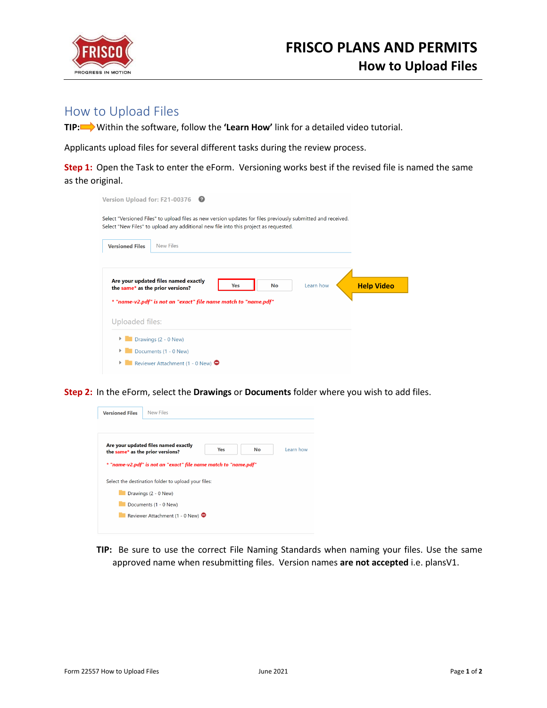

## How to Upload Files

**TIP:** Within the software, follow the **'Learn How'** link for a detailed video tutorial.

Applicants upload files for several different tasks during the review process.

**Step 1:** Open the Task to enter the eForm. Versioning works best if the revised file is named the same as the original.

| <b>Version Upload for: F21-00376</b>                                                                                                                                                                 |                                                                                                    |                   |  |  |  |
|------------------------------------------------------------------------------------------------------------------------------------------------------------------------------------------------------|----------------------------------------------------------------------------------------------------|-------------------|--|--|--|
| Select "Versioned Files" to upload files as new version updates for files previously submitted and received.<br>Select "New Files" to upload any additional new file into this project as requested. |                                                                                                    |                   |  |  |  |
| <b>Versioned Files</b>                                                                                                                                                                               | New Files                                                                                          |                   |  |  |  |
|                                                                                                                                                                                                      | Are your updated files named exactly<br>Learn how<br>Yes<br>No<br>the same* as the prior versions? | <b>Help Video</b> |  |  |  |
|                                                                                                                                                                                                      | * "name-v2.pdf" is not an "exact" file name match to "name.pdf"                                    |                   |  |  |  |
| Uploaded files:                                                                                                                                                                                      |                                                                                                    |                   |  |  |  |
|                                                                                                                                                                                                      | Drawings (2 - 0 New)<br>Documents (1 - 0 New)<br>Reviewer Attachment (1 - 0 New) $\bullet$         |                   |  |  |  |

**Step 2:** In the eForm, select the **Drawings** or **Documents** folder where you wish to add files.

| <b>Versioned Files</b> | <b>New Files</b>                                                         |     |           |           |
|------------------------|--------------------------------------------------------------------------|-----|-----------|-----------|
|                        |                                                                          |     |           |           |
|                        | Are your updated files named exactly<br>the same* as the prior versions? | Yes | <b>No</b> | Learn how |
|                        | * "name-v2.pdf" is not an "exact" file name match to "name.pdf"          |     |           |           |
|                        | Select the destination folder to upload your files:                      |     |           |           |
|                        | Drawings (2 - 0 New)                                                     |     |           |           |
|                        | Documents (1 - 0 New)                                                    |     |           |           |
|                        | Reviewer Attachment (1 - 0 New) ●                                        |     |           |           |
|                        |                                                                          |     |           |           |

**TIP:** Be sure to use the correct File Naming Standards when naming your files. Use the same approved name when resubmitting files. Version names **are not accepted** i.e. plansV1.